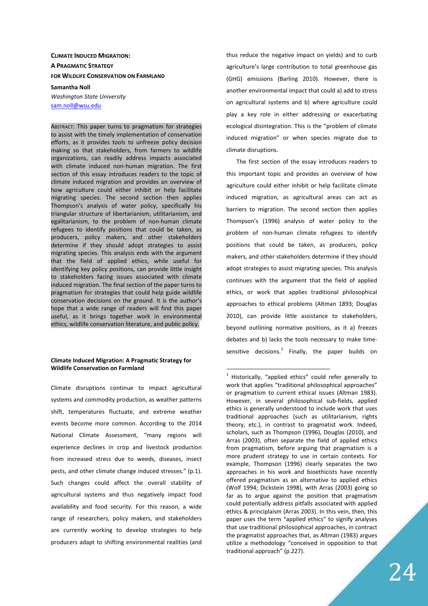# **CLIMATE INDUCED MIGRATION: A PRAGMATIC STRATEGY FOR WILDLIFE CONSERVATION ON FARMLAND Samantha Noll**

*Washington State University* 

sam.noll@wsu.edu

ABSTRACT: This paper turns to pragmatism for strategies to assist with the timely implementation of conservation efforts, as it provides tools to unfreeze policy decision making so that stakeholders, from farmers to wildlife organizations, can readily address impacts associated with climate induced non-human migration. The first section of this essay introduces readers to the topic of climate induced migration and provides an overview of how agriculture could either inhibit or help facilitate migrating species. The second section then applies Thompson's analysis of water policy, specifically his triangular structure of libertarianism, utilitarianism, and egalitarianism, to the problem of non-human climate refugees to identify positions that could be taken, as producers, policy makers, and other stakeholders determine if they should adopt strategies to assist migrating species. This analysis ends with the argument that the field of applied ethics, while useful for identifying key policy positions, can provide little insight to stakeholders facing issues associated with climate induced migration. The final section of the paper turns to pragmatism for strategies that could help guide wildlife conservation decisions on the ground. It is the author's hope that a wide range of readers will find this paper useful, as it brings together work in environmental ethics, wildlife conservation literature, and public policy.

### **Climate Induced Migration: A Pragmatic Strategy for Wildlife Conservation on Farmland**

Climate disruptions continue to impact agricultural systems and commodity production, as weather patterns shift, temperatures fluctuate, and extreme weather events become more common. According to the 2014 National Climate Assessment, "many regions will experience declines in crop and livestock production from increased stress due to weeds, diseases, insect pests, and other climate change induced stresses." (p.1). Such changes could affect the overall stability of agricultural systems and thus negatively impact food availability and food security. For this reason, a wide range of researchers, policy makers, and stakeholders are currently working to develop strategies to help producers adapt to shifting environmental realities (and

thus reduce the negative impact on yields) and to curb agriculture's large contribution to total greenhouse gas (GHG) emissions (Barling 2010). However, there is another environmental impact that could a) add to stress on agricultural systems and b) where agriculture could play a key role in either addressing or exacerbating ecological disintegration. This is the "problem of climate induced migration" or when species migrate due to climate disruptions.

The first section of the essay introduces readers to this important topic and provides an overview of how agriculture could either inhibit or help facilitate climate induced migration, as agricultural areas can act as barriers to migration. The second section then applies Thompson's (1996) analysis of water policy to the problem of non-human climate refugees to identify positions that could be taken, as producers, policy makers, and other stakeholders determine if they should adopt strategies to assist migrating species. This analysis continues with the argument that the field of applied ethics, or work that applies traditional philosophical approaches to ethical problems (Altman 1893; Douglas 2010), can provide little assistance to stakeholders, beyond outlining normative positions, as it a) freezes debates and b) lacks the tools necessary to make timesensitive decisions.<sup>1</sup> Finally, the paper builds on

 $1$  Historically, "applied ethics" could refer generally to work that applies "traditional philosophical approaches" or pragmatism to current ethical issues (Altman 1983). However, in several philosophical sub-fields, applied ethics is generally understood to include work that uses traditional approaches (such as utilitarianism, rights theory, etc.), in contrast to pragmatist work. Indeed, scholars, such as Thompson (1996), Douglas (2010), and Arras (2003), often separate the field of applied ethics from pragmatism, before arguing that pragmatism is a more prudent strategy to use in certain contexts. For example, Thompson (1996) clearly separates the two approaches in his work and bioethicists have recently offered pragmatism as an alternative to applied ethics (Wolf 1994; Dickstein 1998), with Arras (2003) going so far as to argue against the position that pragmatism could potentially address pitfalls associated with applied ethics & principlaism (Arras 2003). In this vein, then, this paper uses the term "applied ethics" to signify analyses that use traditional philosophical approaches, in contract the pragmatist approaches that, as Altman (1983) argues utilize a methodology "conceived in opposition to that traditional approach" (p.227).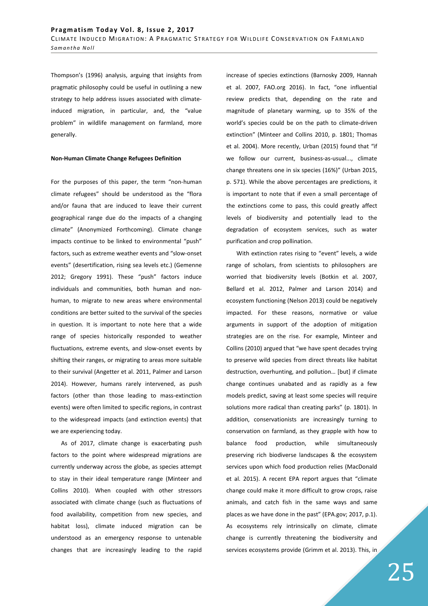Thompson's (1996) analysis, arguing that insights from pragmatic philosophy could be useful in outlining a new strategy to help address issues associated with climateinduced migration, in particular, and, the "value problem" in wildlife management on farmland, more generally.

#### **Non-Human Climate Change Refugees Definition**

For the purposes of this paper, the term "non-human climate refugees" should be understood as the "flora and/or fauna that are induced to leave their current geographical range due do the impacts of a changing climate" (Anonymized Forthcoming). Climate change impacts continue to be linked to environmental "push" factors, such as extreme weather events and "slow-onset events" (desertification, rising sea levels etc.) (Gemenne 2012; Gregory 1991). These "push" factors induce individuals and communities, both human and nonhuman, to migrate to new areas where environmental conditions are better suited to the survival of the species in question. It is important to note here that a wide range of species historically responded to weather fluctuations, extreme events, and slow-onset events by shifting their ranges, or migrating to areas more suitable to their survival (Angetter et al. 2011, Palmer and Larson 2014). However, humans rarely intervened, as push factors (other than those leading to mass-extinction events) were often limited to specific regions, in contrast to the widespread impacts (and extinction events) that we are experiencing today.

As of 2017, climate change is exacerbating push factors to the point where widespread migrations are currently underway across the globe, as species attempt to stay in their ideal temperature range (Minteer and Collins 2010). When coupled with other stressors associated with climate change (such as fluctuations of food availability, competition from new species, and habitat loss), climate induced migration can be understood as an emergency response to untenable changes that are increasingly leading to the rapid increase of species extinctions (Barnosky 2009, Hannah et al. 2007, FAO.org 2016). In fact, "one influential review predicts that, depending on the rate and magnitude of planetary warming, up to 35% of the world's species could be on the path to climate-driven extinction" (Minteer and Collins 2010, p. 1801; Thomas et al. 2004). More recently, Urban (2015) found that "if we follow our current, business-as-usual..., climate change threatens one in six species (16%)" (Urban 2015, p. 571). While the above percentages are predictions, it is important to note that if even a small percentage of the extinctions come to pass, this could greatly affect levels of biodiversity and potentially lead to the degradation of ecosystem services, such as water purification and crop pollination.

With extinction rates rising to "event" levels, a wide range of scholars, from scientists to philosophers are worried that biodiversity levels (Botkin et al. 2007, Bellard et al. 2012, Palmer and Larson 2014) and ecosystem functioning (Nelson 2013) could be negatively impacted. For these reasons, normative or value arguments in support of the adoption of mitigation strategies are on the rise. For example, Minteer and Collins (2010) argued that "we have spent decades trying to preserve wild species from direct threats like habitat destruction, overhunting, and pollution… [but] if climate change continues unabated and as rapidly as a few models predict, saving at least some species will require solutions more radical than creating parks" (p. 1801). In addition, conservationists are increasingly turning to conservation on farmland, as they grapple with how to balance food production, while simultaneously preserving rich biodiverse landscapes & the ecosystem services upon which food production relies (MacDonald et al. 2015). A recent EPA report argues that "climate change could make it more difficult to grow crops, raise animals, and catch fish in the same ways and same places as we have done in the past" (EPA.gov; 2017, p.1). As ecosystems rely intrinsically on climate, climate change is currently threatening the biodiversity and services ecosystems provide (Grimm et al. 2013). This, in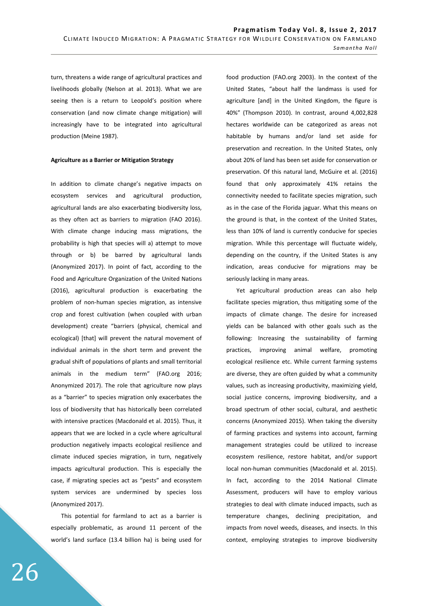turn, threatens a wide range of agricultural practices and livelihoods globally (Nelson at al. 2013). What we are seeing then is a return to Leopold's position where conservation (and now climate change mitigation) will increasingly have to be integrated into agricultural production (Meine 1987).

### **Agriculture as a Barrier or Mitigation Strategy**

In addition to climate change's negative impacts on ecosystem services and agricultural production, agricultural lands are also exacerbating biodiversity loss, as they often act as barriers to migration (FAO 2016). With climate change inducing mass migrations, the probability is high that species will a) attempt to move through or b) be barred by agricultural lands (Anonymized 2017). In point of fact, according to the Food and Agriculture Organization of the United Nations (2016), agricultural production is exacerbating the problem of non-human species migration, as intensive crop and forest cultivation (when coupled with urban development) create "barriers (physical, chemical and ecological) [that] will prevent the natural movement of individual animals in the short term and prevent the gradual shift of populations of plants and small territorial animals in the medium term" (FAO.org 2016; Anonymized 2017). The role that agriculture now plays as a "barrier" to species migration only exacerbates the loss of biodiversity that has historically been correlated with intensive practices (Macdonald et al. 2015). Thus, it appears that we are locked in a cycle where agricultural production negatively impacts ecological resilience and climate induced species migration, in turn, negatively impacts agricultural production. This is especially the case, if migrating species act as "pests" and ecosystem system services are undermined by species loss (Anonymized 2017).

This potential for farmland to act as a barrier is especially problematic, as around 11 percent of the world's land surface (13.4 billion ha) is being used for food production (FAO.org 2003). In the context of the United States, "about half the landmass is used for agriculture [and] in the United Kingdom, the figure is 40%" (Thompson 2010). In contrast, around 4,002,828 hectares worldwide can be categorized as areas not habitable by humans and/or land set aside for preservation and recreation. In the United States, only about 20% of land has been set aside for conservation or preservation. Of this natural land, McGuire et al. (2016) found that only approximately 41% retains the connectivity needed to facilitate species migration, such as in the case of the Florida jaguar. What this means on the ground is that, in the context of the United States, less than 10% of land is currently conducive for species migration. While this percentage will fluctuate widely, depending on the country, if the United States is any indication, areas conducive for migrations may be seriously lacking in many areas.

Yet agricultural production areas can also help facilitate species migration, thus mitigating some of the impacts of climate change. The desire for increased yields can be balanced with other goals such as the following: Increasing the sustainability of farming practices, improving animal welfare, promoting ecological resilience etc. While current farming systems are diverse, they are often guided by what a community values, such as increasing productivity, maximizing yield, social justice concerns, improving biodiversity, and a broad spectrum of other social, cultural, and aesthetic concerns (Anonymized 2015). When taking the diversity of farming practices and systems into account, farming management strategies could be utilized to increase ecosystem resilience, restore habitat, and/or support local non-human communities (Macdonald et al. 2015). In fact, according to the 2014 National Climate Assessment, producers will have to employ various strategies to deal with climate induced impacts, such as temperature changes, declining precipitation, and impacts from novel weeds, diseases, and insects. In this context, employing strategies to improve biodiversity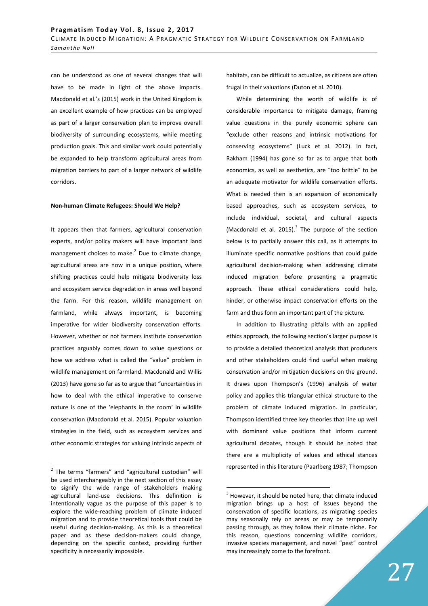can be understood as one of several changes that will have to be made in light of the above impacts. Macdonald et al.'s (2015) work in the United Kingdom is an excellent example of how practices can be employed as part of a larger conservation plan to improve overall biodiversity of surrounding ecosystems, while meeting production goals. This and similar work could potentially be expanded to help transform agricultural areas from migration barriers to part of a larger network of wildlife corridors.

#### **Non-human Climate Refugees: Should We Help?**

It appears then that farmers, agricultural conservation experts, and/or policy makers will have important land management choices to make. $2$  Due to climate change, agricultural areas are now in a unique position, where shifting practices could help mitigate biodiversity loss and ecosystem service degradation in areas well beyond the farm. For this reason, wildlife management on farmland, while always important, is becoming imperative for wider biodiversity conservation efforts. However, whether or not farmers institute conservation practices arguably comes down to value questions or how we address what is called the "value" problem in wildlife management on farmland. Macdonald and Willis (2013) have gone so far as to argue that "uncertainties in how to deal with the ethical imperative to conserve nature is one of the 'elephants in the room' in wildlife conservation (Macdonald et al. 2015). Popular valuation strategies in the field, such as ecosystem services and other economic strategies for valuing intrinsic aspects of

 $\overline{a}$ 

habitats, can be difficult to actualize, as citizens are often frugal in their valuations (Duton et al. 2010).

While determining the worth of wildlife is of considerable importance to mitigate damage, framing value questions in the purely economic sphere can "exclude other reasons and intrinsic motivations for conserving ecosystems" (Luck et al. 2012). In fact, Rakham (1994) has gone so far as to argue that both economics, as well as aesthetics, are "too brittle" to be an adequate motivator for wildlife conservation efforts. What is needed then is an expansion of economically based approaches, such as ecosystem services, to include individual, societal, and cultural aspects (Macdonald et al. 2015). $3$  The purpose of the section below is to partially answer this call, as it attempts to illuminate specific normative positions that could guide agricultural decision-making when addressing climate induced migration before presenting a pragmatic approach. These ethical considerations could help, hinder, or otherwise impact conservation efforts on the farm and thus form an important part of the picture.

In addition to illustrating pitfalls with an applied ethics approach, the following section's larger purpose is to provide a detailed theoretical analysis that producers and other stakeholders could find useful when making conservation and/or mitigation decisions on the ground. It draws upon Thompson's (1996) analysis of water policy and applies this triangular ethical structure to the problem of climate induced migration. In particular, Thompson identified three key theories that line up well with dominant value positions that inform current agricultural debates, though it should be noted that there are a multiplicity of values and ethical stances represented in this literature (Paarlberg 1987; Thompson

<sup>&</sup>lt;sup>2</sup> The terms "farmers" and "agricultural custodian" will be used interchangeably in the next section of this essay to signify the wide range of stakeholders making agricultural land-use decisions. This definition is intentionally vague as the purpose of this paper is to explore the wide-reaching problem of climate induced migration and to provide theoretical tools that could be useful during decision-making. As this is a theoretical paper and as these decision-makers could change, depending on the specific context, providing further specificity is necessarily impossible.

 $3$  However, it should be noted here, that climate induced migration brings up a host of issues beyond the conservation of specific locations, as migrating species may seasonally rely on areas or may be temporarily passing through, as they follow their climate niche. For this reason, questions concerning wildlife corridors, invasive species management, and novel "pest" control may increasingly come to the forefront.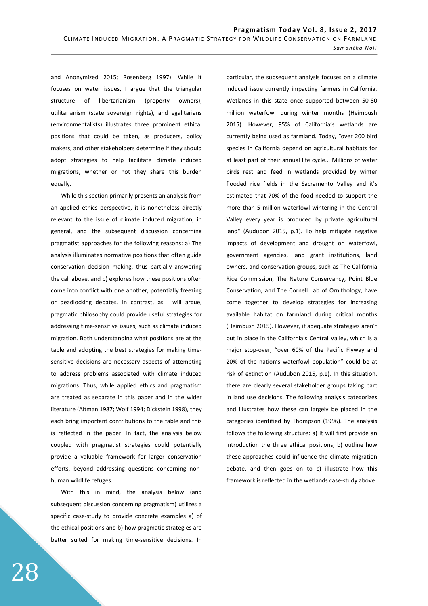and Anonymized 2015; Rosenberg 1997). While it focuses on water issues, I argue that the triangular structure of libertarianism (property owners), utilitarianism (state sovereign rights), and egalitarians (environmentalists) illustrates three prominent ethical positions that could be taken, as producers, policy makers, and other stakeholders determine if they should adopt strategies to help facilitate climate induced migrations, whether or not they share this burden equally.

While this section primarily presents an analysis from an applied ethics perspective, it is nonetheless directly relevant to the issue of climate induced migration, in general, and the subsequent discussion concerning pragmatist approaches for the following reasons: a) The analysis illuminates normative positions that often guide conservation decision making, thus partially answering the call above, and b) explores how these positions often come into conflict with one another, potentially freezing or deadlocking debates. In contrast, as I will argue, pragmatic philosophy could provide useful strategies for addressing time-sensitive issues, such as climate induced migration. Both understanding what positions are at the table and adopting the best strategies for making timesensitive decisions are necessary aspects of attempting to address problems associated with climate induced migrations. Thus, while applied ethics and pragmatism are treated as separate in this paper and in the wider literature (Altman 1987; Wolf 1994; Dickstein 1998), they each bring important contributions to the table and this is reflected in the paper. In fact, the analysis below coupled with pragmatist strategies could potentially provide a valuable framework for larger conservation efforts, beyond addressing questions concerning nonhuman wildlife refuges.

With this in mind, the analysis below (and subsequent discussion concerning pragmatism) utilizes a specific case-study to provide concrete examples a) of the ethical positions and b) how pragmatic strategies are better suited for making time-sensitive decisions. In particular, the subsequent analysis focuses on a climate induced issue currently impacting farmers in California. Wetlands in this state once supported between 50-80 million waterfowl during winter months (Heimbush 2015). However, 95% of California's wetlands are currently being used as farmland. Today, "over 200 bird species in California depend on agricultural habitats for at least part of their annual life cycle... Millions of water birds rest and feed in wetlands provided by winter flooded rice fields in the Sacramento Valley and it's estimated that 70% of the food needed to support the more than 5 million waterfowl wintering in the Central Valley every year is produced by private agricultural land" (Audubon 2015, p.1). To help mitigate negative impacts of development and drought on waterfowl, government agencies, land grant institutions, land owners, and conservation groups, such as The California Rice Commission, The Nature Conservancy, Point Blue Conservation, and The Cornell Lab of Ornithology, have come together to develop strategies for increasing available habitat on farmland during critical months (Heimbush 2015). However, if adequate strategies aren't put in place in the California's Central Valley, which is a major stop-over, "over 60% of the Pacific Flyway and 20% of the nation's waterfowl population" could be at risk of extinction (Audubon 2015, p.1). In this situation, there are clearly several stakeholder groups taking part in land use decisions. The following analysis categorizes and illustrates how these can largely be placed in the categories identified by Thompson (1996). The analysis follows the following structure: a) It will first provide an introduction the three ethical positions, b) outline how these approaches could influence the climate migration debate, and then goes on to c) illustrate how this framework is reflected in the wetlands case-study above.

28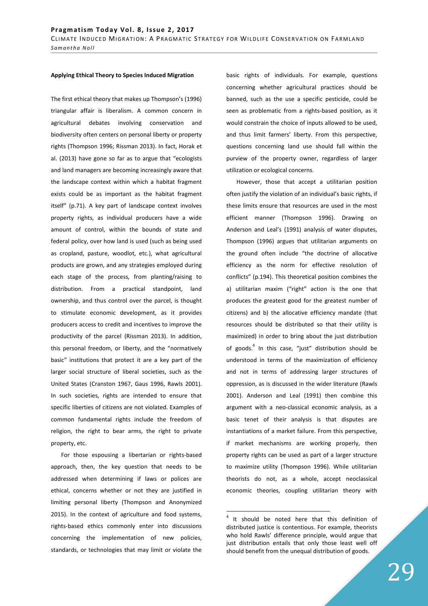#### **Applying Ethical Theory to Species Induced Migration**

The first ethical theory that makes up Thompson's (1996) triangular affair is liberalism. A common concern in agricultural debates involving conservation and biodiversity often centers on personal liberty or property rights (Thompson 1996; Rissman 2013). In fact, Horak et al. (2013) have gone so far as to argue that "ecologists and land managers are becoming increasingly aware that the landscape context within which a habitat fragment exists could be as important as the habitat fragment itself" (p.71). A key part of landscape context involves property rights, as individual producers have a wide amount of control, within the bounds of state and federal policy, over how land is used (such as being used as cropland, pasture, woodlot, etc.), what agricultural products are grown, and any strategies employed during each stage of the process, from planting/raising to distribution. From a practical standpoint, land ownership, and thus control over the parcel, is thought to stimulate economic development, as it provides producers access to credit and incentives to improve the productivity of the parcel (Rissman 2013). In addition, this personal freedom, or liberty, and the "normatively basic" institutions that protect it are a key part of the larger social structure of liberal societies, such as the United States (Cranston 1967, Gaus 1996, Rawls 2001). In such societies, rights are intended to ensure that specific liberties of citizens are not violated. Examples of common fundamental rights include the freedom of religion, the right to bear arms, the right to private property, etc.

For those espousing a libertarian or rights-based approach, then, the key question that needs to be addressed when determining if laws or polices are ethical, concerns whether or not they are justified in limiting personal liberty (Thompson and Anonymized 2015). In the context of agriculture and food systems, rights-based ethics commonly enter into discussions concerning the implementation of new policies, standards, or technologies that may limit or violate the basic rights of individuals. For example, questions concerning whether agricultural practices should be banned, such as the use a specific pesticide, could be seen as problematic from a rights-based position, as it would constrain the choice of inputs allowed to be used, and thus limit farmers' liberty. From this perspective, questions concerning land use should fall within the purview of the property owner, regardless of larger utilization or ecological concerns.

However, those that accept a utilitarian position often justify the violation of an individual's basic rights, if these limits ensure that resources are used in the most efficient manner (Thompson 1996). Drawing on Anderson and Leal's (1991) analysis of water disputes, Thompson (1996) argues that utilitarian arguments on the ground often include "the doctrine of allocative efficiency as the norm for effective resolution of conflicts" (p.194). This theoretical position combines the a) utilitarian maxim ("right" action is the one that produces the greatest good for the greatest number of citizens) and b) the allocative efficiency mandate (that resources should be distributed so that their utility is maximized) in order to bring about the just distribution of goods.<sup>4</sup> In this case, "just" distribution should be understood in terms of the maximization of efficiency and not in terms of addressing larger structures of oppression, as is discussed in the wider literature (Rawls 2001). Anderson and Leal (1991) then combine this argument with a neo-classical economic analysis, as a basic tenet of their analysis is that disputes are instantiations of a market failure. From this perspective, if market mechanisms are working properly, then property rights can be used as part of a larger structure to maximize utility (Thompson 1996). While utilitarian theorists do not, as a whole, accept neoclassical economic theories, coupling utilitarian theory with

<sup>4</sup> It should be noted here that this definition of distributed justice is contentious. For example, theorists who hold Rawls' difference principle, would argue that just distribution entails that only those least well off should benefit from the unequal distribution of goods.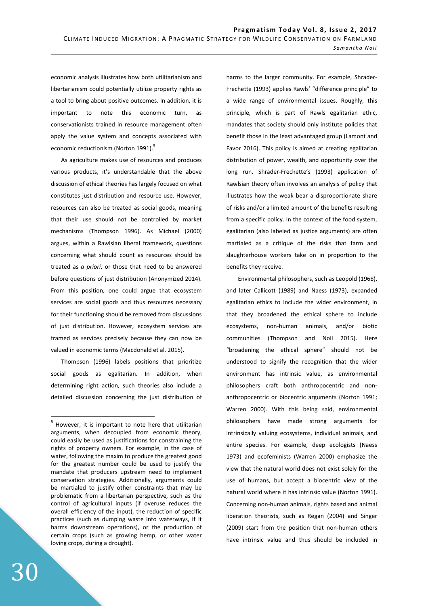economic analysis illustrates how both utilitarianism and libertarianism could potentially utilize property rights as a tool to bring about positive outcomes. In addition, it is important to note this economic turn, as conservationists trained in resource management often apply the value system and concepts associated with economic reductionism (Norton 1991).<sup>5</sup>

As agriculture makes use of resources and produces various products, it's understandable that the above discussion of ethical theories has largely focused on what constitutes just distribution and resource use. However, resources can also be treated as social goods, meaning that their use should not be controlled by market mechanisms (Thompson 1996). As Michael (2000) argues, within a Rawlsian liberal framework, questions concerning what should count as resources should be treated as *a priori*, or those that need to be answered before questions of just distribution (Anonymized 2014). From this position, one could argue that ecosystem services are social goods and thus resources necessary for their functioning should be removed from discussions of just distribution. However, ecosystem services are framed as services precisely because they can now be valued in economic terms (Macdonald et al. 2015).

Thompson (1996) labels positions that prioritize social goods as egalitarian. In addition, when determining right action, such theories also include a detailed discussion concerning the just distribution of harms to the larger community. For example, Shrader-Frechette (1993) applies Rawls' "difference principle" to a wide range of environmental issues. Roughly, this principle, which is part of Rawls egalitarian ethic, mandates that society should only institute policies that benefit those in the least advantaged group (Lamont and Favor 2016). This policy is aimed at creating egalitarian distribution of power, wealth, and opportunity over the long run. Shrader-Frechette's (1993) application of Rawlsian theory often involves an analysis of policy that illustrates how the weak bear a disproportionate share of risks and/or a limited amount of the benefits resulting from a specific policy. In the context of the food system, egalitarian (also labeled as justice arguments) are often martialed as a critique of the risks that farm and slaughterhouse workers take on in proportion to the benefits they receive.

 Environmental philosophers, such as Leopold (1968), and later Callicott (1989) and Naess (1973), expanded egalitarian ethics to include the wider environment, in that they broadened the ethical sphere to include ecosystems, non-human animals, and/or biotic communities (Thompson and Noll 2015). Here "broadening the ethical sphere" should not be understood to signify the recognition that the wider environment has intrinsic value, as environmental philosophers craft both anthropocentric and nonanthropocentric or biocentric arguments (Norton 1991; Warren 2000). With this being said, environmental philosophers have made strong arguments for intrinsically valuing ecosystems, individual animals, and entire species. For example, deep ecologists (Naess 1973) and ecofeminists (Warren 2000) emphasize the view that the natural world does not exist solely for the use of humans, but accept a biocentric view of the natural world where it has intrinsic value (Norton 1991). Concerning non-human animals, rights based and animal liberation theorists, such as Regan (2004) and Singer (2009) start from the position that non-human others have intrinsic value and thus should be included in

<sup>&</sup>lt;sup>5</sup> However, it is important to note here that utilitarian arguments, when decoupled from economic theory, could easily be used as justifications for constraining the rights of property owners. For example, in the case of water, following the maxim to produce the greatest good for the greatest number could be used to justify the mandate that producers upstream need to implement conservation strategies. Additionally, arguments could be martialed to justify other constraints that may be problematic from a libertarian perspective, such as the control of agricultural inputs (if overuse reduces the overall efficiency of the input), the reduction of specific practices (such as dumping waste into waterways, if it harms downstream operations), or the production of certain crops (such as growing hemp, or other water loving crops, during a drought).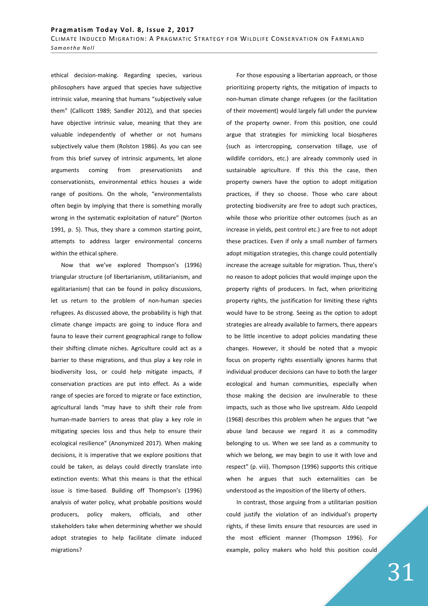ethical decision-making. Regarding species, various philosophers have argued that species have subjective intrinsic value, meaning that humans "subjectively value them" (Callicott 1989; Sandler 2012), and that species have objective intrinsic value, meaning that they are valuable independently of whether or not humans subjectively value them (Rolston 1986). As you can see from this brief survey of intrinsic arguments, let alone arguments coming from preservationists and conservationists, environmental ethics houses a wide range of positions. On the whole, "environmentalists often begin by implying that there is something morally wrong in the systematic exploitation of nature" (Norton 1991, p. 5). Thus, they share a common starting point, attempts to address larger environmental concerns within the ethical sphere.

Now that we've explored Thompson's (1996) triangular structure (of libertarianism, utilitarianism, and egalitarianism) that can be found in policy discussions, let us return to the problem of non-human species refugees. As discussed above, the probability is high that climate change impacts are going to induce flora and fauna to leave their current geographical range to follow their shifting climate niches. Agriculture could act as a barrier to these migrations, and thus play a key role in biodiversity loss, or could help mitigate impacts, if conservation practices are put into effect. As a wide range of species are forced to migrate or face extinction, agricultural lands "may have to shift their role from human-made barriers to areas that play a key role in mitigating species loss and thus help to ensure their ecological resilience" (Anonymized 2017). When making decisions, it is imperative that we explore positions that could be taken, as delays could directly translate into extinction events: What this means is that the ethical issue is time-based. Building off Thompson's (1996) analysis of water policy, what probable positions would producers, policy makers, officials, and other stakeholders take when determining whether we should adopt strategies to help facilitate climate induced migrations?

For those espousing a libertarian approach, or those prioritizing property rights, the mitigation of impacts to non-human climate change refugees (or the facilitation of their movement) would largely fall under the purview of the property owner. From this position, one could argue that strategies for mimicking local biospheres (such as intercropping, conservation tillage, use of wildlife corridors, etc.) are already commonly used in sustainable agriculture. If this this the case, then property owners have the option to adopt mitigation practices, if they so choose. Those who care about protecting biodiversity are free to adopt such practices, while those who prioritize other outcomes (such as an increase in yields, pest control etc.) are free to not adopt these practices. Even if only a small number of farmers adopt mitigation strategies, this change could potentially increase the acreage suitable for migration. Thus, there's no reason to adopt policies that would impinge upon the property rights of producers. In fact, when prioritizing property rights, the justification for limiting these rights would have to be strong. Seeing as the option to adopt strategies are already available to farmers, there appears to be little incentive to adopt policies mandating these changes. However, it should be noted that a myopic focus on property rights essentially ignores harms that individual producer decisions can have to both the larger ecological and human communities, especially when those making the decision are invulnerable to these impacts, such as those who live upstream. Aldo Leopold (1968) describes this problem when he argues that "we abuse land because we regard it as a commodity belonging to us. When we see land as a community to which we belong, we may begin to use it with love and respect" (p. viii). Thompson (1996) supports this critique when he argues that such externalities can be understood as the imposition of the liberty of others.

In contrast, those arguing from a utilitarian position could justify the violation of an individual's property rights, if these limits ensure that resources are used in the most efficient manner (Thompson 1996). For example, policy makers who hold this position could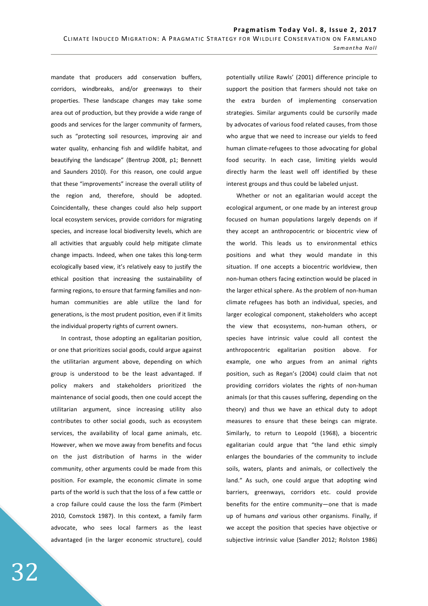mandate that producers add conservation buffers, corridors, windbreaks, and/or greenways to their properties. These landscape changes may take some area out of production, but they provide a wide range of goods and services for the larger community of farmers, such as "protecting soil resources, improving air and water quality, enhancing fish and wildlife habitat, and beautifying the landscape" (Bentrup 2008, p1; Bennett and Saunders 2010). For this reason, one could argue that these "improvements" increase the overall utility of the region and, therefore, should be adopted. Coincidentally, these changes could also help support local ecosystem services, provide corridors for migrating species, and increase local biodiversity levels, which are all activities that arguably could help mitigate climate change impacts. Indeed, when one takes this long-term ecologically based view, it's relatively easy to justify the ethical position that increasing the sustainability of farming regions, to ensure that farming families and nonhuman communities are able utilize the land for generations, is the most prudent position, even if it limits the individual property rights of current owners.

In contrast, those adopting an egalitarian position, or one that prioritizes social goods, could argue against the utilitarian argument above, depending on which group is understood to be the least advantaged. If policy makers and stakeholders prioritized the maintenance of social goods, then one could accept the utilitarian argument, since increasing utility also contributes to other social goods, such as ecosystem services, the availability of local game animals, etc. However, when we move away from benefits and focus on the just distribution of harms in the wider community, other arguments could be made from this position. For example, the economic climate in some parts of the world is such that the loss of a few cattle or a crop failure could cause the loss the farm (Pimbert 2010, Comstock 1987). In this context, a family farm advocate, who sees local farmers as the least advantaged (in the larger economic structure), could potentially utilize Rawls' (2001) difference principle to support the position that farmers should not take on the extra burden of implementing conservation strategies. Similar arguments could be cursorily made by advocates of various food related causes, from those who argue that we need to increase our yields to feed human climate-refugees to those advocating for global food security. In each case, limiting yields would directly harm the least well off identified by these interest groups and thus could be labeled unjust.

Whether or not an egalitarian would accept the ecological argument, or one made by an interest group focused on human populations largely depends on if they accept an anthropocentric or biocentric view of the world. This leads us to environmental ethics positions and what they would mandate in this situation. If one accepts a biocentric worldview, then non-human others facing extinction would be placed in the larger ethical sphere. As the problem of non-human climate refugees has both an individual, species, and larger ecological component, stakeholders who accept the view that ecosystems, non-human others, or species have intrinsic value could all contest the anthropocentric egalitarian position above. For example, one who argues from an animal rights position, such as Regan's (2004) could claim that not providing corridors violates the rights of non-human animals (or that this causes suffering, depending on the theory) and thus we have an ethical duty to adopt measures to ensure that these beings can migrate. Similarly, to return to Leopold (1968), a biocentric egalitarian could argue that "the land ethic simply enlarges the boundaries of the community to include soils, waters, plants and animals, or collectively the land." As such, one could argue that adopting wind barriers, greenways, corridors etc. could provide benefits for the entire community—one that is made up of humans *and* various other organisms. Finally, if we accept the position that species have objective or subjective intrinsic value (Sandler 2012; Rolston 1986)

32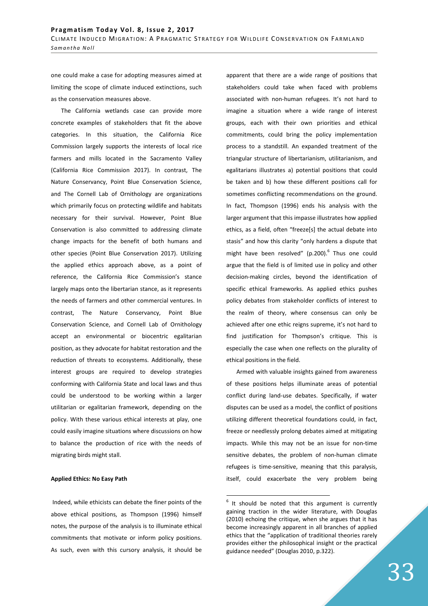one could make a case for adopting measures aimed at limiting the scope of climate induced extinctions, such as the conservation measures above.

The California wetlands case can provide more concrete examples of stakeholders that fit the above categories. In this situation, the California Rice Commission largely supports the interests of local rice farmers and mills located in the Sacramento Valley (California Rice Commission 2017). In contrast, The Nature Conservancy, Point Blue Conservation Science, and The Cornell Lab of Ornithology are organizations which primarily focus on protecting wildlife and habitats necessary for their survival. However, Point Blue Conservation is also committed to addressing climate change impacts for the benefit of both humans and other species (Point Blue Conservation 2017). Utilizing the applied ethics approach above, as a point of reference, the California Rice Commission's stance largely maps onto the libertarian stance, as it represents the needs of farmers and other commercial ventures. In contrast, The Nature Conservancy, Point Blue Conservation Science, and Cornell Lab of Ornithology accept an environmental or biocentric egalitarian position, as they advocate for habitat restoration and the reduction of threats to ecosystems. Additionally, these interest groups are required to develop strategies conforming with California State and local laws and thus could be understood to be working within a larger utilitarian or egalitarian framework, depending on the policy. With these various ethical interests at play, one could easily imagine situations where discussions on how to balance the production of rice with the needs of migrating birds might stall.

# **Applied Ethics: No Easy Path**

Indeed, while ethicists can debate the finer points of the above ethical positions, as Thompson (1996) himself notes, the purpose of the analysis is to illuminate ethical commitments that motivate or inform policy positions. As such, even with this cursory analysis, it should be apparent that there are a wide range of positions that stakeholders could take when faced with problems associated with non-human refugees. It's not hard to imagine a situation where a wide range of interest groups, each with their own priorities and ethical commitments, could bring the policy implementation process to a standstill. An expanded treatment of the triangular structure of libertarianism, utilitarianism, and egalitarians illustrates a) potential positions that could be taken and b) how these different positions call for sometimes conflicting recommendations on the ground. In fact, Thompson (1996) ends his analysis with the larger argument that this impasse illustrates how applied ethics, as a field, often "freeze[s] the actual debate into stasis" and how this clarity "only hardens a dispute that might have been resolved" (p.200). $^6$  Thus one could argue that the field is of limited use in policy and other decision-making circles, beyond the identification of specific ethical frameworks. As applied ethics pushes policy debates from stakeholder conflicts of interest to the realm of theory, where consensus can only be achieved after one ethic reigns supreme, it's not hard to find justification for Thompson's critique. This is especially the case when one reflects on the plurality of ethical positions in the field.

Armed with valuable insights gained from awareness of these positions helps illuminate areas of potential conflict during land-use debates. Specifically, if water disputes can be used as a model, the conflict of positions utilizing different theoretical foundations could, in fact, freeze or needlessly prolong debates aimed at mitigating impacts. While this may not be an issue for non-time sensitive debates, the problem of non-human climate refugees is time-sensitive, meaning that this paralysis, itself, could exacerbate the very problem being

 $6$  It should be noted that this argument is currently gaining traction in the wider literature, with Douglas (2010) echoing the critique, when she argues that it has become increasingly apparent in all branches of applied ethics that the "application of traditional theories rarely provides either the philosophical insight or the practical guidance needed" (Douglas 2010, p.322).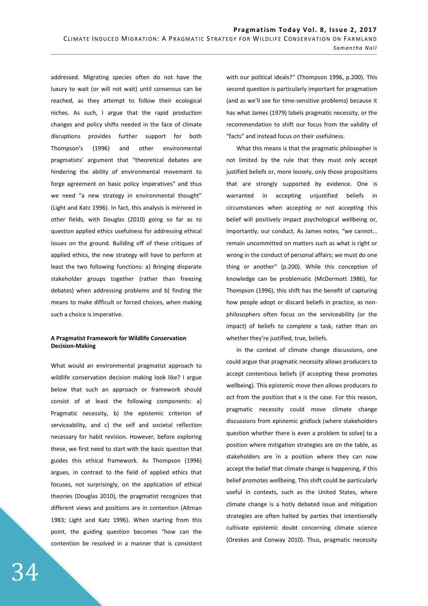addressed. Migrating species often do not have the luxury to wait (or will not wait) until consensus can be reached, as they attempt to follow their ecological niches. As such, I argue that the rapid production changes and policy shifts needed in the face of climate disruptions provides further support for both Thompson's (1996) and other environmental pragmatists' argument that "theoretical debates are hindering the ability of environmental movement to forge agreement on basic policy imperatives" and thus we need "a new strategy in environmental thought" (Light and Katz 1996). In fact, this analysis is mirrored in other fields, with Douglas (2010) going so far as to question applied ethics usefulness for addressing ethical issues on the ground. Building off of these critiques of applied ethics, the new strategy will have to perform at least the two following functions: a) Bringing disparate stakeholder groups together (rather than freezing debates) when addressing problems and b) finding the means to make difficult or forced choices, when making such a choice is imperative.

### **A Pragmatist Framework for Wildlife Conservation Decision-Making**

What would an environmental pragmatist approach to wildlife conservation decision making look like? I argue below that such an approach or framework should consist of at least the following components: a) Pragmatic necessity, b) the epistemic criterion of serviceability, and c) the self and societal reflection necessary for habit revision. However, before exploring these, we first need to start with the basic question that guides this ethical framework. As Thompson (1996) argues, in contrast to the field of applied ethics that focuses, not surprisingly, on the application of ethical theories (Douglas 2010), the pragmatist recognizes that different views and positions are in contention (Altman 1983; Light and Katz 1996). When starting from this point, the guiding question becomes "how can the contention be resolved in a manner that is consistent

with our political ideals?" (Thompson 1996, p.200). This second question is particularly important for pragmatism (and as we'll see for time-sensitive problems) because it has what James (1979) labels pragmatic necessity, or the recommendation to shift our focus from the validity of "facts" and instead focus on their usefulness.

What this means is that the pragmatic philosopher is not limited by the rule that they must only accept justified beliefs or, more loosely, only those propositions that are strongly supported by evidence. One is warranted in accepting unjustified beliefs in circumstances when accepting or not accepting this belief will positively impact psychological wellbeing or, importantly, our conduct. As James notes, "we cannot… remain uncommitted on matters such as what is right or wrong in the conduct of personal affairs; we must do one thing or another" (p.200). While this conception of knowledge can be problematic (McDermott 1986), for Thompson (1996), this shift has the benefit of capturing how people adopt or discard beliefs in practice, as nonphilosophers often focus on the serviceability (or the impact) of beliefs to complete a task, rather than on whether they're justified, true, beliefs.

In the context of climate change discussions, one could argue that pragmatic necessity allows producers to accept contentious beliefs (if accepting these promotes wellbeing). This epistemic move then allows producers *to act* from the position that x is the case. For this reason, pragmatic necessity could move climate change discussions from epistemic gridlock (where stakeholders question whether there is even a problem to solve) to a position where mitigation strategies are on the table, as stakeholders are in a position where they can now accept the belief that climate change is happening, if this belief promotes wellbeing. This shift could be particularly useful in contexts, such as the United States, where climate change is a hotly debated issue and mitigation strategies are often halted by parties that intentionally cultivate epistemic doubt concerning climate science (Oreskes and Conway 2010). Thus, pragmatic necessity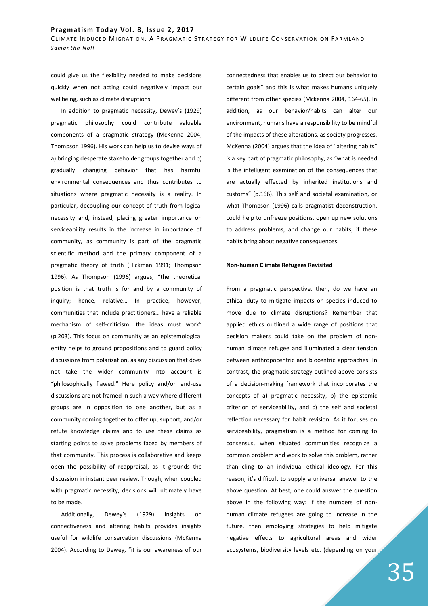could give us the flexibility needed to make decisions quickly when not acting could negatively impact our wellbeing, such as climate disruptions.

In addition to pragmatic necessity, Dewey's (1929) pragmatic philosophy could contribute valuable components of a pragmatic strategy (McKenna 2004; Thompson 1996). His work can help us to devise ways of a) bringing desperate stakeholder groups together and b) gradually changing behavior that has harmful environmental consequences and thus contributes to situations where pragmatic necessity is a reality. In particular, decoupling our concept of truth from logical necessity and, instead, placing greater importance on serviceability results in the increase in importance of community, as community is part of the pragmatic scientific method and the primary component of a pragmatic theory of truth (Hickman 1991; Thompson 1996). As Thompson (1996) argues, "the theoretical position is that truth is for and by a community of inquiry; hence, relative… In practice, however, communities that include practitioners… have a reliable mechanism of self-criticism: the ideas must work" (p.203). This focus on community as an epistemological entity helps to ground propositions and to guard policy discussions from polarization, as any discussion that does not take the wider community into account is "philosophically flawed." Here policy and/or land-use discussions are not framed in such a way where different groups are in opposition to one another, but as a community coming together to offer up, support, and/or refute knowledge claims and to use these claims as starting points to solve problems faced by members of that community. This process is collaborative and keeps open the possibility of reappraisal, as it grounds the discussion in instant peer review. Though, when coupled with pragmatic necessity, decisions will ultimately have to be made.

Additionally, Dewey's (1929) insights on connectiveness and altering habits provides insights useful for wildlife conservation discussions (McKenna 2004). According to Dewey, "it is our awareness of our connectedness that enables us to direct our behavior to certain goals" and this is what makes humans uniquely different from other species (Mckenna 2004, 164-65). In addition, as our behavior/habits can alter our environment, humans have a responsibility to be mindful of the impacts of these alterations, as society progresses. McKenna (2004) argues that the idea of "altering habits" is a key part of pragmatic philosophy, as "what is needed is the intelligent examination of the consequences that are actually effected by inherited institutions and customs" (p.166). This self and societal examination, or what Thompson (1996) calls pragmatist deconstruction, could help to unfreeze positions, open up new solutions to address problems, and change our habits, if these habits bring about negative consequences.

### **Non-human Climate Refugees Revisited**

From a pragmatic perspective, then, do we have an ethical duty to mitigate impacts on species induced to move due to climate disruptions? Remember that applied ethics outlined a wide range of positions that decision makers could take on the problem of nonhuman climate refugee and illuminated a clear tension between anthropocentric and biocentric approaches. In contrast, the pragmatic strategy outlined above consists of a decision-making framework that incorporates the concepts of a) pragmatic necessity, b) the epistemic criterion of serviceability, and c) the self and societal reflection necessary for habit revision. As it focuses on serviceability, pragmatism is a method for coming to consensus, when situated communities recognize a common problem and work to solve this problem, rather than cling to an individual ethical ideology. For this reason, it's difficult to supply a universal answer to the above question. At best, one could answer the question above in the following way: If the numbers of nonhuman climate refugees are going to increase in the future, then employing strategies to help mitigate negative effects to agricultural areas and wider ecosystems, biodiversity levels etc. (depending on your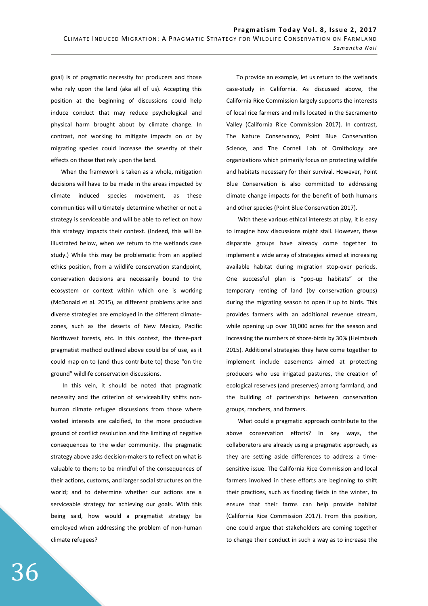goal) is of pragmatic necessity for producers and those who rely upon the land (aka all of us). Accepting this position at the beginning of discussions could help induce conduct that may reduce psychological and physical harm brought about by climate change. In contrast, not working to mitigate impacts on or by migrating species could increase the severity of their effects on those that rely upon the land.

When the framework is taken as a whole, mitigation decisions will have to be made in the areas impacted by climate induced species movement, as these communities will ultimately determine whether or not a strategy is serviceable and will be able to reflect on how this strategy impacts their context. (Indeed, this will be illustrated below, when we return to the wetlands case study.) While this may be problematic from an applied ethics position, from a wildlife conservation standpoint, conservation decisions are necessarily bound to the ecosystem or context within which one is working (McDonald et al. 2015), as different problems arise and diverse strategies are employed in the different climatezones, such as the deserts of New Mexico, Pacific Northwest forests, etc. In this context, the three-part pragmatist method outlined above could be of use, as it could map on to (and thus contribute to) these "on the ground" wildlife conservation discussions.

 In this vein, it should be noted that pragmatic necessity and the criterion of serviceability shifts nonhuman climate refugee discussions from those where vested interests are calcified, to the more productive ground of conflict resolution and the limiting of negative consequences to the wider community. The pragmatic strategy above asks decision-makers to reflect on what is valuable to them; to be mindful of the consequences of their actions, customs, and larger social structures on the world; and to determine whether our actions are a serviceable strategy for achieving our goals. With this being said, how would a pragmatist strategy be employed when addressing the problem of non-human climate refugees?

To provide an example, let us return to the wetlands case-study in California. As discussed above, the California Rice Commission largely supports the interests of local rice farmers and mills located in the Sacramento Valley (California Rice Commission 2017). In contrast, The Nature Conservancy, Point Blue Conservation Science, and The Cornell Lab of Ornithology are organizations which primarily focus on protecting wildlife and habitats necessary for their survival. However, Point Blue Conservation is also committed to addressing climate change impacts for the benefit of both humans and other species (Point Blue Conservation 2017).

 With these various ethical interests at play, it is easy to imagine how discussions might stall. However, these disparate groups have already come together to implement a wide array of strategies aimed at increasing available habitat during migration stop-over periods. One successful plan is "pop-up habitats" or the temporary renting of land (by conservation groups) during the migrating season to open it up to birds. This provides farmers with an additional revenue stream, while opening up over 10,000 acres for the season and increasing the numbers of shore-birds by 30% (Heimbush 2015). Additional strategies they have come together to implement include easements aimed at protecting producers who use irrigated pastures, the creation of ecological reserves (and preserves) among farmland, and the building of partnerships between conservation groups, ranchers, and farmers.

 What could a pragmatic approach contribute to the above conservation efforts? In key ways, the collaborators are already using a pragmatic approach, as they are setting aside differences to address a timesensitive issue. The California Rice Commission and local farmers involved in these efforts are beginning to shift their practices, such as flooding fields in the winter, to ensure that their farms can help provide habitat (California Rice Commission 2017). From this position, one could argue that stakeholders are coming together to change their conduct in such a way as to increase the

36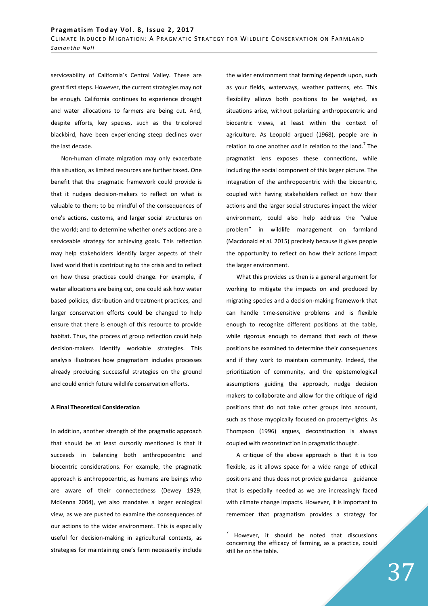serviceability of California's Central Valley. These are great first steps. However, the current strategies may not be enough. California continues to experience drought and water allocations to farmers are being cut. And, despite efforts, key species, such as the tricolored blackbird, have been experiencing steep declines over the last decade.

Non-human climate migration may only exacerbate this situation, as limited resources are further taxed. One benefit that the pragmatic framework could provide is that it nudges decision-makers to reflect on what is valuable to them; to be mindful of the consequences of one's actions, customs, and larger social structures on the world; and to determine whether one's actions are a serviceable strategy for achieving goals. This reflection may help stakeholders identify larger aspects of their lived world that is contributing to the crisis and to reflect on how these practices could change. For example, if water allocations are being cut, one could ask how water based policies, distribution and treatment practices, and larger conservation efforts could be changed to help ensure that there is enough of this resource to provide habitat. Thus, the process of group reflection could help decision-makers identify workable strategies. This analysis illustrates how pragmatism includes processes already producing successful strategies on the ground and could enrich future wildlife conservation efforts.

#### **A Final Theoretical Consideration**

In addition, another strength of the pragmatic approach that should be at least cursorily mentioned is that it succeeds in balancing both anthropocentric and biocentric considerations. For example, the pragmatic approach is anthropocentric, as humans are beings who are aware of their connectedness (Dewey 1929; McKenna 2004), yet also mandates a larger ecological view, as we are pushed to examine the consequences of our actions to the wider environment. This is especially useful for decision-making in agricultural contexts, as strategies for maintaining one's farm necessarily include the wider environment that farming depends upon, such as your fields, waterways, weather patterns, etc. This flexibility allows both positions to be weighed, as situations arise, without polarizing anthropocentric and biocentric views, at least within the context of agriculture. As Leopold argued (1968), people are in relation to one another *and* in relation to the land.<sup>7</sup> The pragmatist lens exposes these connections, while including the social component of this larger picture. The integration of the anthropocentric with the biocentric, coupled with having stakeholders reflect on how their actions and the larger social structures impact the wider environment, could also help address the "value problem" in wildlife management on farmland (Macdonald et al. 2015) precisely because it gives people the opportunity to reflect on how their actions impact the larger environment.

What this provides us then is a general argument for working to mitigate the impacts on and produced by migrating species and a decision-making framework that can handle time-sensitive problems and is flexible enough to recognize different positions at the table, while rigorous enough to demand that each of these positions be examined to determine their consequences and if they work to maintain community. Indeed, the prioritization of community, and the epistemological assumptions guiding the approach, nudge decision makers to collaborate and allow for the critique of rigid positions that do not take other groups into account, such as those myopically focused on property-rights. As Thompson (1996) argues, deconstruction is always coupled with reconstruction in pragmatic thought.

A critique of the above approach is that it is too flexible, as it allows space for a wide range of ethical positions and thus does not provide guidance—guidance that is especially needed as we are increasingly faced with climate change impacts. However, it is important to remember that pragmatism provides a strategy for

<sup>7</sup> However, it should be noted that discussions concerning the efficacy of farming, as a practice, could still be on the table.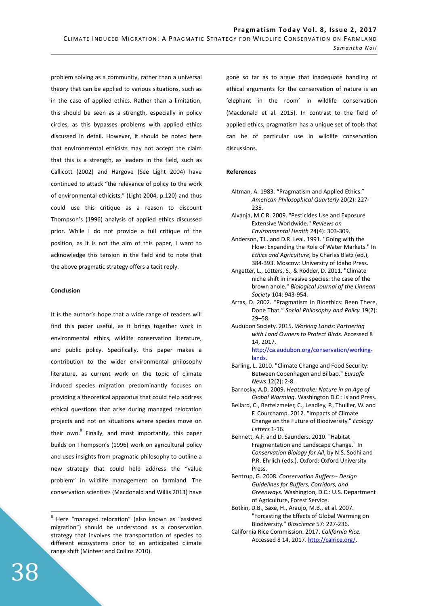problem solving as a community, rather than a universal theory that can be applied to various situations, such as in the case of applied ethics. Rather than a limitation, this should be seen as a strength, especially in policy circles, as this bypasses problems with applied ethics discussed in detail. However, it should be noted here that environmental ethicists may not accept the claim that this is a strength, as leaders in the field, such as Callicott (2002) and Hargove (See Light 2004) have continued to attack "the relevance of policy to the work of environmental ethicists," (Light 2004, p.120) and thus could use this critique as a reason to discount Thompson's (1996) analysis of applied ethics discussed prior. While I do not provide a full critique of the position, as it is not the aim of this paper, I want to acknowledge this tension in the field and to note that the above pragmatic strategy offers a tacit reply.

### **Conclusion**

It is the author's hope that a wide range of readers will find this paper useful, as it brings together work in environmental ethics, wildlife conservation literature, and public policy. Specifically, this paper makes a contribution to the wider environmental philosophy literature, as current work on the topic of climate induced species migration predominantly focuses on providing a theoretical apparatus that could help address ethical questions that arise during managed relocation projects and not on situations where species move on their own.<sup>8</sup> Finally, and most importantly, this paper builds on Thompson's (1996) work on agricultural policy and uses insights from pragmatic philosophy to outline a new strategy that could help address the "value problem" in wildlife management on farmland. The conservation scientists (Macdonald and Willis 2013) have

gone so far as to argue that inadequate handling of ethical arguments for the conservation of nature is an 'elephant in the room' in wildlife conservation (Macdonald et al. 2015). In contrast to the field of applied ethics, pragmatism has a unique set of tools that can be of particular use in wildlife conservation discussions.

#### **References**

- Altman, A. 1983. "Pragmatism and Applied Ethics." *American Philosophical Quarterly* 20(2): 227- 235.
- Alvanja, M.C.R. 2009. "Pesticides Use and Exposure Extensive Worldwide." *Reviews on Environmental Health* 24(4): 303-309.
- Anderson, T.L. and D.R. Leal. 1991. "Going with the Flow: Expanding the Role of Water Markets." In *Ethics and Agriculture*, by Charles Blatz (ed.), 384-393. Moscow: University of Idaho Press.
- Angetter, L., Lötters, S., & Rödder, D. 2011. "Climate niche shift in invasive species: the case of the brown anole." *Biological Journal of the Linnean Society* 104: 943-954.
- Arras, D. 2002. "Pragmatism in Bioethics: Been There, Done That." *Social Philosophy and Policy* 19(2): 29–58.
- Audubon Society. 2015. *Working Lands: Partnering with Land Owners to Protect Birds.* Accessed 8 14, 2017. http://ca.audubon.org/conservation/workinglands.
- Barling, L. 2010. "Climate Change and Food Security: Between Copenhagen and Bilbao." *Eursafe News* 12(2): 2-8.
- Barnosky, A.D. 2009. *Heatstroke: Nature in an Age of Global Warming.* Washington D.C.: Island Press.
- Bellard, C., Bertelzmeier, C., Leadley, P., Thuiller, W. and F. Courchamp. 2012. "Impacts of Climate Change on the Future of Biodiversity." *Ecology Letters* 1-16.
- Bennett, A.F. and D. Saunders. 2010. "Habitat Fragmentation and Landscape Change." In *Conservation Biology for All*, by N.S. Sodhi and P.R. Ehrlich (eds.). Oxford: Oxford University Press.
- Bentrup, G. 2008. *Conservation Buffers-- Design Guidelines for Buffers, Corridors, and Greenways.* Washington, D.C.: U.S. Department of Agriculture, Forest Service.
- Botkin, D.B., Saxe, H., Araujo, M.B., et al. 2007. "Forcasting the Effects of Global Warming on Biodiversity." *Bioscience* 57: 227-236.
- California Rice Commission. 2017. *California Rice.* Accessed 8 14, 2017. http://calrice.org/.

<sup>&</sup>lt;sup>8</sup> Here "managed relocation" (also known as "assisted migration") should be understood as a conservation strategy that involves the transportation of species to different ecosystems prior to an anticipated climate range shift (Minteer and Collins 2010).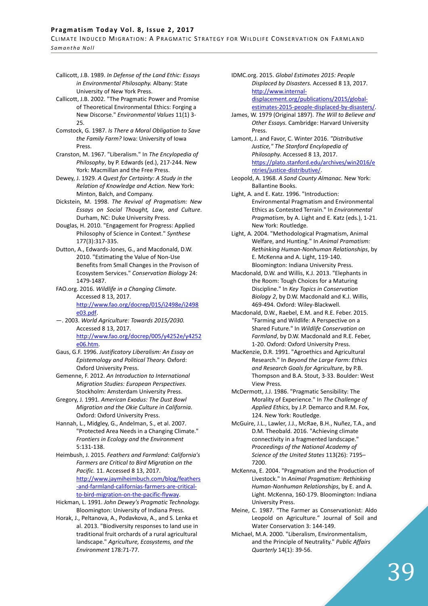# Pragmatism Today Vol. 8, Issue 2, 2017

CLIMATE INDUCED MIGRATION: A PRAGMATIC STRATEGY FOR WILDLIFE CONSERVATION ON FARMLAND *S a m a n t h a N o l l* 

- Callicott, J.B. 1989. *In Defense of the Land Ethic: Essays in Environmental Philosophy.* Albany: State University of New York Press.
- Callicott, J.B. 2002. "The Pragmatic Power and Promise of Theoretical Environmental Ethics: Forging a New Discorse." *Environmental Values* 11(1) 3- 25.
- Comstock, G. 1987. *Is There a Moral Obligation to Save the Family Farm?* Iowa: University of Iowa Press.
- Cranston, M. 1967. "Liberalism." In *The Encylopedia of Philosophy*, by P. Edwards (ed.), 217-244. New York: Macmillan and the Free Press.
- Dewey, J. 1929. *A Quest for Certainty: A Study in the Relation of Knowledge and Action.* New York: Minton, Balch, and Company.
- Dickstein, M. 1998. *The Revival of Pragmatism: New Essays on Social Thought, Law, and Culture*. Durham, NC: Duke University Press.
- Douglas, H. 2010. "Engagement for Progress: Applied Philosophy of Science in Context." *Synthese* 177(3):317-335.
- Dutton, A., Edwards-Jones, G., and Macdonald, D.W. 2010. "Estimating the Value of Non-Use Benefits from Small Changes in the Provison of Ecosystem Services." *Conservation Biology* 24: 1479-1487.
- FAO.org. 2016. *Wildlife in a Changing Climate.* Accessed 8 13, 2017. http://www.fao.org/docrep/015/i2498e/i2498 e03.pdf.
- —. 2003. *World Agriculture: Towards 2015/2030.* Accessed 8 13, 2017. http://www.fao.org/docrep/005/y4252e/y4252 e06.htm.
- Gaus, G.F. 1996. *Justificatory Liberalism: An Essay on Epistemology and Political Theory.* Oxford: Oxford University Press.
- Gemenne, F. 2012. *An Introduction to International Migration Studies: European Perspectives.* Stockholm: Amsterdam University Press.
- Gregory, J. 1991. *American Exodus: The Dust Bowl Migration and the Okie Culture in California.* Oxford: Oxford University Press.
- Hannah, L., Midgley, G., Andelman, S., et al. 2007. "Protected Area Needs in a Changing Climate." *Frontiers in Ecology and the Environment* 5:131-138.
- Heimbush, J. 2015. *Feathers and Farmland: California's Farmers are Critical to Bird Migration on the Pacific.* 11. Accessed 8 13, 2017. http://www.jaymiheimbuch.com/blog/feathers -and-farmland-californias-farmers-are-criticalto-bird-migration-on-the-pacific-flyway.
- Hickman, L. 1991. *John Dewey's Pragmatic Technology.* Bloomington: University of Indiana Press.
- Horak, J., Peltanova, A., Podavkova, A., and S. Lenka et al. 2013. "Biodiversity responses to land use in traditional fruit orchards of a rural agricultural landscape." *Agriculture, Ecosystems, and the Environment* 178:71-77.

IDMC.org. 2015. *Global Estimates 2015: People Displaced by Disasters.* Accessed 8 13, 2017. http://www.internaldisplacement.org/publications/2015/globalestimates-2015-people-displaced-by-disasters/.

- James, W. 1979 (Original 1897). *The Will to Believe and Other Essays.* Cambridge: Harvard University Press.
- Lamont, J. and Favor, C. Winter 2016. *"Distributive Justice," The Stanford Encylopedia of Philosophy.* Accessed 8 13, 2017. https://plato.stanford.edu/archives/win2016/e ntries/justice-distributive/.
- Leopold, A. 1968. *A Sand County Almanac.* New York: Ballantine Books.
- Light, A. and E. Katz. 1996. "Introduction: Environmental Pragmatism and Environmental Ethics as Contested Terrain." In *Environmental Pragmatism*, by A. Light and E. Katz (eds.), 1-21. New York: Routledge.
- Light, A. 2004. "Methodological Pragmatism, Animal Welfare, and Hunting." In *Animal Pramatism: Rethinking Human-Nonhuman Relationships*, by E. McKenna and A. Light, 119-140. Bloomington: Indiana University Press.
- Macdonald, D.W. and Willis, K.J. 2013. "Elephants in the Room: Tough Choices for a Maturing Discipline." In *Key Topics in Conservation Biology 2*, by D.W. Macdonald and K.J. Willis, 469-494. Oxford: Wiley-Blackwell.
- Macdonald, D.W., Raebel, E.M. and R.E. Feber. 2015. "Farming and Wildlife: A Perspective on a Shared Future." In *Wildlife Conservation on Farmland*, by D.W. Macdonald and R.E. Feber, 1-20. Oxford: Oxford University Press.
- MacKenzie, D.R. 1991. "Agroethics and Agricultural Research." In *Beyond the Large Farm: Ethics and Research Goals for Agriculture*, by P.B. Thompson and B.A. Stout, 3-33. Boulder: West View Press.
- McDermott, J.J. 1986. "Pragmatic Sensibility: The Morality of Experience." In *The Challenge of Applied Ethics*, by J.P. Demarco and R.M. Fox, 124. New York: Routledge.
- McGuire, J.L., Lawler, J.J., McRae, B.H., Nuñez, T.A., and D.M. Theobald. 2016. "Achieving climate connectivity in a fragmented landscape." *Proceedings of the National Academy of Science of the United States* 113(26): 7195– 7200.
- McKenna, E. 2004. "Pragmatism and the Production of Livestock." In *Animal Pragmatism: Rethinking Human-Nonhuman Relationships*, by E. and A. Light. McKenna, 160-179. Bloomington: Indiana University Press.
- Meine, C. 1987. "The Farmer as Conservationist: Aldo Leopold on Agriculture." Journal of Soil and Water Conservation 3: 144-149.
- Michael, M.A. 2000. "Liberalism, Environmentalism, and the Principle of Neutrality." *Public Affairs Quarterly* 14(1): 39-56.